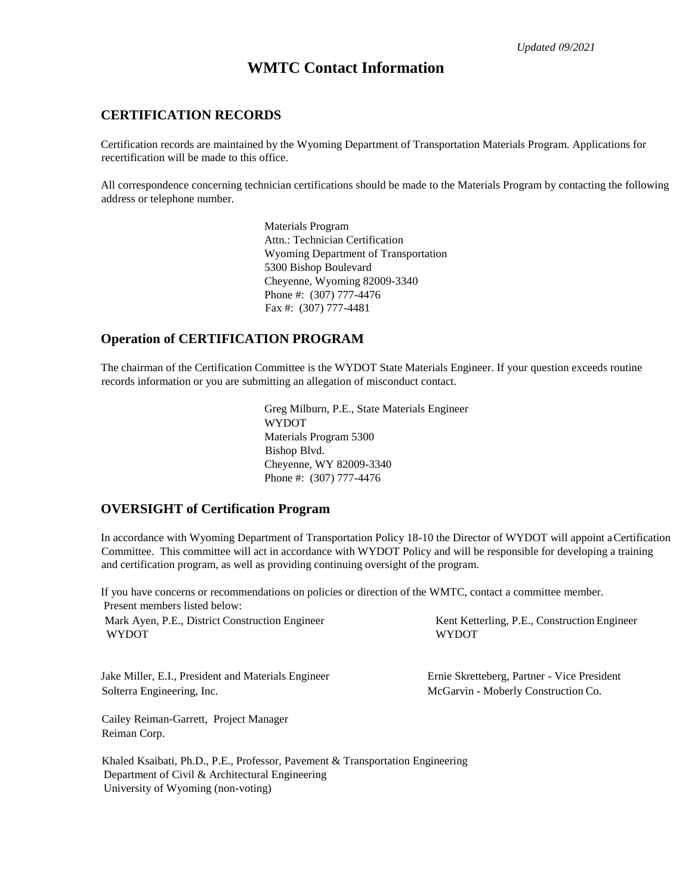*Updated 09/2021*

# **WMTC Contact Information**

## **CERTIFICATION RECORDS**

Certification records are maintained by the Wyoming Department of Transportation Materials Program. Applications for recertification will be made to this office.

All correspondence concerning technician certifications should be made to the Materials Program by contacting the following address or telephone number.

> Materials Program Attn.: Technician Certification Wyoming Department of Transportation 5300 Bishop Boulevard Cheyenne, Wyoming 82009-3340 Phone #: (307) 777-4476 Fax #: (307) 777-4481

## **Operation of CERTIFICATION PROGRAM**

The chairman of the Certification Committee is the WYDOT State Materials Engineer. If your question exceeds routine records information or you are submitting an allegation of misconduct contact.

> Greg Milburn, P.E., State Materials Engineer WYDOT Materials Program 5300 Bishop Blvd. Cheyenne, WY 82009-3340 Phone #: (307) 777-4476

## **OVERSIGHT of Certification Program**

In accordance with Wyoming Department of Transportation Policy 18-10 the Director of WYDOT will appoint aCertification Committee. This committee will act in accordance with WYDOT Policy and will be responsible for developing a training and certification program, as well as providing continuing oversight of the program.

If you have concerns or recommendations on policies or direction of the WMTC, contact a committee member. Present members listed below:

Mark Ayen, P.E., District Construction Engineer Kent Ketterling, P.E., Construction Engineer WYDOT WYDOT

Jake Miller, E.I., President and Materials Engineer Ernie Skretteberg, Partner - Vice President Solterra Engineering, Inc. The Construction Co. The McGarvin - Moberly Construction Co.

Cailey Reiman-Garrett, Project Manager Reiman Corp.

Khaled Ksaibati, Ph.D., P.E., Professor, Pavement & Transportation Engineering Department of Civil & Architectural Engineering University of Wyoming (non-voting)